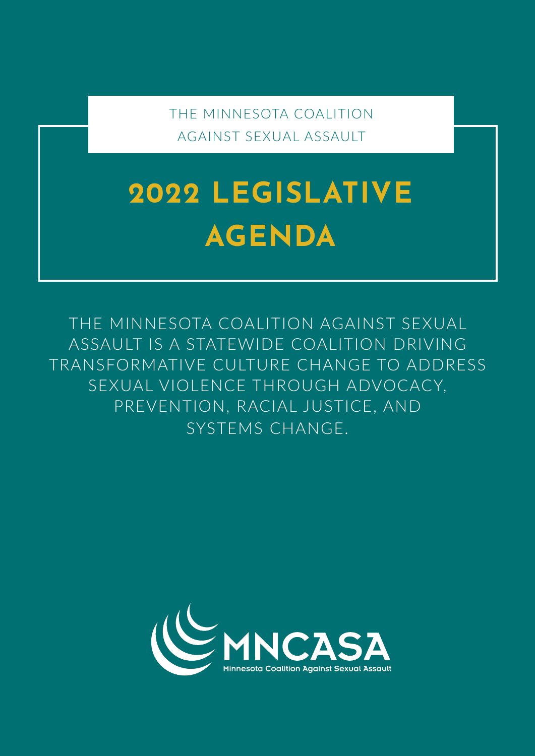THE MINNESOTA COALITION AGAINST SEXUAL ASSAULT

# **2022 LEGISLATIVE AGENDA**

THE MINNESOTA COALITION AGAINST SEXUAL ASSAULT IS A STATEWIDE COALITION DRIVING TRANSFORMATIVE CULTURE CHANGE TO ADDRESS SEXUAL VIOLENCE THROUGH ADVOCACY, PREVENTION, RACIAL JUSTICE, AND SYSTEMS CHANGE.

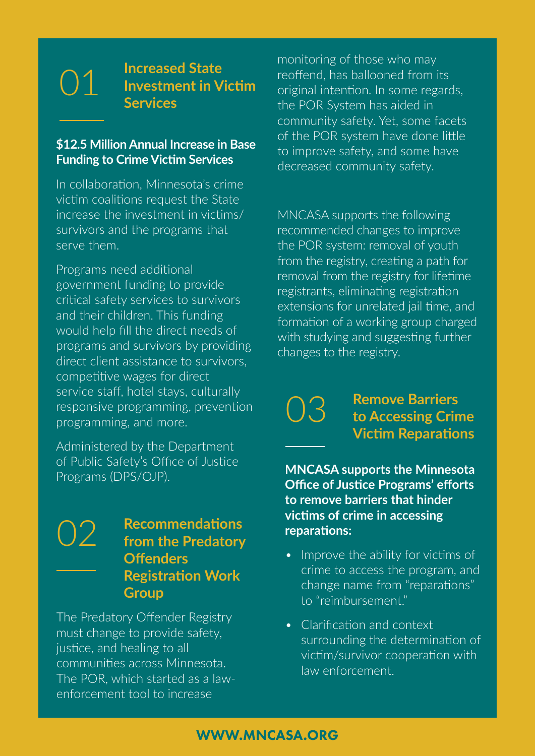01 **Increased State Investment in Victim Services**

#### **\$12.5 Million Annual Increase in Base Funding to Crime Victim Services**

In collaboration, Minnesota's crime victim coalitions request the State increase the investment in victims/ survivors and the programs that serve them.

Programs need additional government funding to provide critical safety services to survivors and their children. This funding would help fill the direct needs of programs and survivors by providing direct client assistance to survivors, competitive wages for direct service staff, hotel stays, culturally responsive programming, prevention programming, and more.

Administered by the Department of Public Safety's Office of Justice Programs (DPS/OJP).

### 02 **Recommendations from the Predatory Offenders Registration Work Group**

The Predatory Offender Registry must change to provide safety, justice, and healing to all communities across Minnesota. The POR, which started as a lawenforcement tool to increase

monitoring of those who may reoffend, has ballooned from its original intention. In some regards, the POR System has aided in community safety. Yet, some facets of the POR system have done little to improve safety, and some have decreased community safety.

MNCASA supports the following recommended changes to improve the POR system: removal of youth from the registry, creating a path for removal from the registry for lifetime registrants, eliminating registration extensions for unrelated jail time, and formation of a working group charged with studying and suggesting further changes to the registry.

03

**Remove Barriers to Accessing Crime Victim Reparations**

**MNCASA supports the Minnesota Office of Justice Programs' efforts to remove barriers that hinder victims of crime in accessing reparations:**

- Improve the ability for victims of crime to access the program, and change name from "reparations" to "reimbursement."
- Clarification and context surrounding the determination of victim/survivor cooperation with law enforcement.

#### WWW.MNCASA.ORG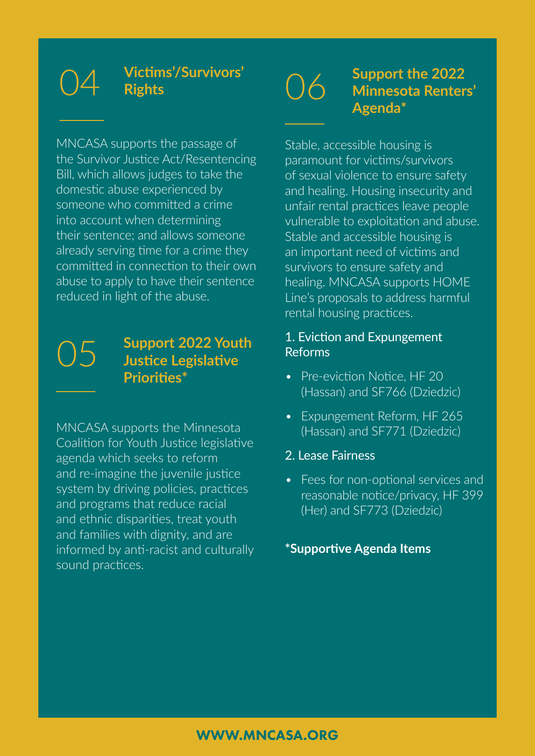# **Rights**

## 04 **Victims'/Survivors'**

MNCASA supports the passage of the Survivor Justice Act/Resentencing Bill, which allows judges to take the domestic abuse experienced by someone who committed a crime into account when determining their sentence; and allows someone already serving time for a crime they committed in connection to their own abuse to apply to have their sentence reduced in light of the abuse.

#### 05 **Support 2022 Youth Justice Legislative Priorities\***

MNCASA supports the Minnesota Coalition for Youth Justice legislative agenda which seeks to reform and re-imagine the juvenile justice system by driving policies, practices and programs that reduce racial and ethnic disparities, treat youth and families with dignity, and are informed by anti-racist and culturally sound practices.

### 06 **Support the 2022 Minnesota Renters' Agenda\***

Stable, accessible housing is paramount for victims/survivors of sexual violence to ensure safety and healing. Housing insecurity and unfair rental practices leave people vulnerable to exploitation and abuse. Stable and accessible housing is an important need of victims and survivors to ensure safety and healing. MNCASA supports HOME Line's proposals to address harmful rental housing practices.

#### 1. Eviction and Expungement Reforms

- Pre-eviction Notice, HF 20 (Hassan) and SF766 (Dziedzic)
- Expungement Reform, HF 265 (Hassan) and SF771 (Dziedzic)

#### 2. Lease Fairness

• Fees for non-optional services and reasonable notice/privacy, HF 399 (Her) and SF773 (Dziedzic)

#### **\*Supportive Agenda Items**

#### WWW.MNCASA.ORG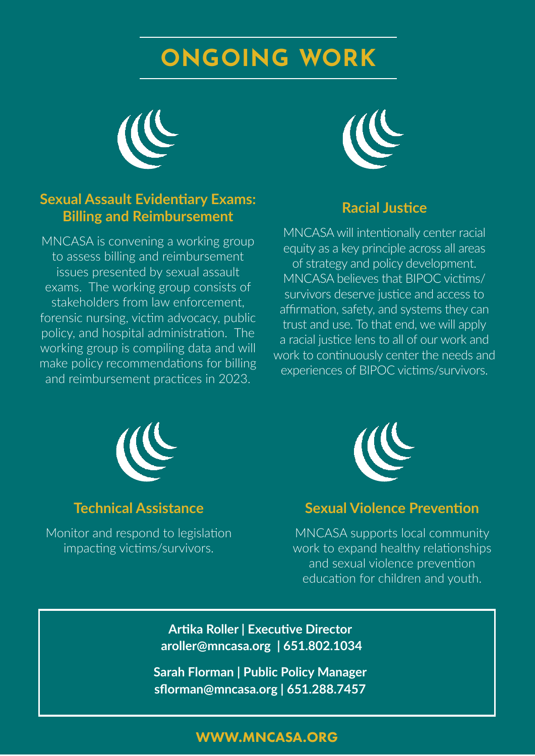## **ONGOING WORK**



#### **Sexual Assault Evidentiary Exams: Billing and Reimbursement**

MNCASA is convening a working group to assess billing and reimbursement issues presented by sexual assault exams. The working group consists of stakeholders from law enforcement, forensic nursing, victim advocacy, public policy, and hospital administration. The working group is compiling data and will make policy recommendations for billing and reimbursement practices in 2023.



#### **Racial Justice**

MNCASA will intentionally center racial equity as a key principle across all areas of strategy and policy development. MNCASA believes that BIPOC victims/ survivors deserve justice and access to affirmation, safety, and systems they can trust and use. To that end, we will apply a racial justice lens to all of our work and work to continuously center the needs and experiences of BIPOC victims/survivors.



#### **Technical Assistance**

Monitor and respond to legislation impacting victims/survivors.



#### **Sexual Violence Prevention**

MNCASA supports local community work to expand healthy relationships and sexual violence prevention education for children and youth.

**Artika Roller | Executive Director aroller@mncasa.org | 651.802.1034**

**Sarah Florman | Public Policy Manager sflorman@mncasa.org | 651.288.7457**

#### WWW.MNCASA.ORG